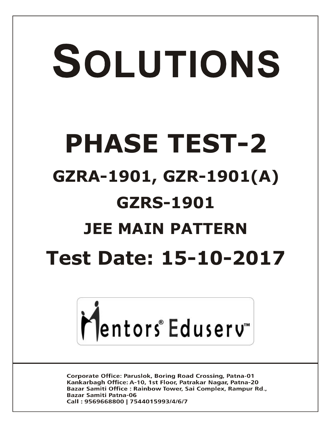# SOLUTIONS **PHASE TEST-2 GZRA-1901, GZR-1901(A) GZRS-1901 JEE MAIN PATTERN Test Date: 15-10-2017**



**Corporate Office: Paruslok, Boring Road Crossing, Patna-01** Kankarbagh Office: A-10, 1st Floor, Patrakar Nagar, Patna-20 Bazar Samiti Office: Rainbow Tower, Sai Complex, Rampur Rd., **Bazar Samiti Patna-06** Call: 9569668800 | 7544015993/4/6/7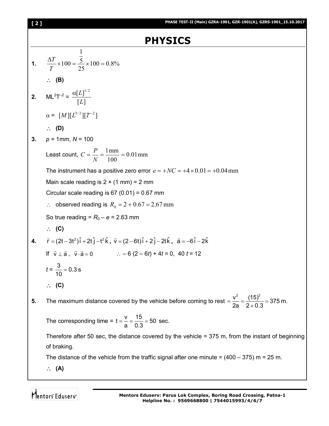| [2] | PHASE TEST-II (Main) GZRA-1901, GZR-1901(A), GZRS-1901_15.10.2017                                                                               |
|-----|-------------------------------------------------------------------------------------------------------------------------------------------------|
|     | <b>PHYSICS</b>                                                                                                                                  |
|     | <b>1.</b> $\frac{\Delta T}{T} \times 100 = \frac{\frac{1}{5}}{25} \times 100 = 0.8\%$                                                           |
|     | $\therefore$ (B)                                                                                                                                |
|     | <b>2.</b> $ML^2T^{-2} = \frac{\alpha[L]^{1/2}}{[L]}$                                                                                            |
|     | $\alpha = [M][L^{5/2}][T^{-2}]$                                                                                                                 |
|     | $\therefore$ (D)                                                                                                                                |
| 3.  | $p = 1$ mm, $N = 100$                                                                                                                           |
|     | Least count, $C = \frac{P}{N} = \frac{1 \text{ mm}}{100} = 0.01 \text{ mm}$                                                                     |
|     | The instrument has a positive zero error $e = +NC = +4 \times 0.01 = +0.04$ mm                                                                  |
|     | Main scale reading is $2 \times (1 \text{ mm}) = 2 \text{ mm}$                                                                                  |
|     | Circular scale reading is $67(0.01) = 0.67$ mm                                                                                                  |
|     | $\therefore$ observed reading is $R_0 = 2 + 0.67 = 2.67$ mm                                                                                     |
|     | So true reading = $R_0 - e = 2.63$ mm                                                                                                           |
|     | $\therefore$ (C)                                                                                                                                |
| 4.  | $\vec{r} = (2t - 3t^2)\hat{i} + 2t\hat{j} - t^2\hat{k}$ , $\vec{v} = (2 - 6t)\hat{i} + 2\hat{j} - 2t\hat{k}$ , $\vec{a} = -6\hat{i} - 2\hat{k}$ |
|     | If $\vec{v} \perp \vec{a}$ , $\vec{v} \cdot \vec{a} = 0$ $\therefore -6(2-6t) + 4t = 0$ , 40 $t = 12$                                           |
|     | $t = \frac{3}{10} = 0.3$ s                                                                                                                      |
|     | $\therefore$ (C)                                                                                                                                |
| 5.  | The maximum distance covered by the vehicle before coming to rest $=\frac{v^2}{2a}=\frac{(15)^2}{2\times 0.3}=375$ m.                           |
|     | The corresponding time = $t = \frac{v}{a} = \frac{15}{0.3} = 50$ sec.                                                                           |
|     | Therefore after 50 sec, the distance covered by the vehicle $=$ 375 m, from the instant of beginning                                            |
|     | of braking.                                                                                                                                     |
|     | The distance of the vehicle from the traffic signal after one minute = $(400 - 375)$ m = 25 m.                                                  |
|     | $\therefore$ (A)                                                                                                                                |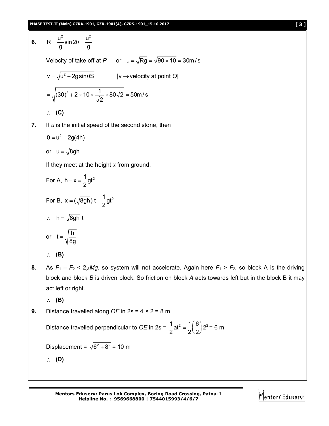**PHASE TEST-II (Main) GZRA-1901, GZR-1901(A), GZRS-1901\_15.10.2017 [ 3 ]**

6. 
$$
R = \frac{u^2}{g} \sin 2\theta = \frac{u^2}{g}
$$
  
\nVelocity of take off at *P* or  $u = \sqrt{Rg} = \sqrt{90 \times 10} = 30 \text{ m/s}$   
\n $v = \sqrt{u^2 + 2g \sin \theta S}$  [v \rightarrow velocity at point O]  
\n $= \sqrt{(30)^2 + 2 \times 10 \times \frac{1}{\sqrt{2}} \times 80\sqrt{2}} = 50 \text{ m/s}$   
\n $\therefore$  (C)  
\n7. If *u* is the initial speed of the second stone, then  
\n $0 = u^2 - 2g(4h)$ 

or 
$$
u = \sqrt{8gh}
$$

If they meet at the height *x* from ground,

For A, 
$$
h - x = \frac{1}{2}gt^2
$$
  
\nFor B,  $x = (\sqrt{8gh})t - \frac{1}{2}gt^2$   
\n $\therefore h = \sqrt{8gh}t$   
\nor  $t = \sqrt{\frac{h}{8g}}$   
\n $\therefore$  (B)

- **8.** As  $F_1 F_2 < 2\mu Mg$ , so system will not accelerate. Again here  $F_1 > F_2$ , so block A is the driving block and block *B* is driven block. So friction on block *A* acts towards left but in the block B it may act left or right.
	- **(B)**
- **9.** Distance travelled along *OE* in 2s = 4 × 2 = 8 m

Distance travelled perpendicular to *OE* in 2s =  $\frac{1}{2}$  at<sup>2</sup> =  $\frac{1}{2}$  $\left(\frac{6}{2}\right)$  2<sup>2</sup>  $2^{\sim}$  2 2  $=\frac{1}{2}\left(\frac{6}{2}\right)2^2$  = 6 m

Displacement =  $\sqrt{6^2 + 8^2}$  = 10 m

**(D)**

**Mentors Eduserv: Parus Lok Complex, Boring Road Crossing, Patna-1 Helpline No. : 9569668800 | 7544015993/4/6/7**

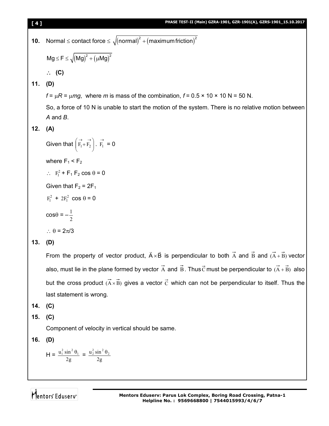| 10. | Normal $\leq$ contact force $\leq \sqrt{(normal)^2 + (maximum friction)^2}$                                                                     |  |
|-----|-------------------------------------------------------------------------------------------------------------------------------------------------|--|
|     | $Mg \le F \le \sqrt{(Mg)^2 + (\mu Mg)^2}$                                                                                                       |  |
|     | $\therefore$ (C)                                                                                                                                |  |
| 11. | (D)                                                                                                                                             |  |
|     | $f = \mu R = \mu mg$ , where m is mass of the combination, $f = 0.5 \times 10 \times 10 N = 50 N$ .                                             |  |
|     | So, a force of 10 N is unable to start the motion of the system. There is no relative motion between                                            |  |
|     | $A$ and $B$ .                                                                                                                                   |  |
| 12. | (A)                                                                                                                                             |  |
|     | Given that $\begin{pmatrix} \overrightarrow{F_1} + \overrightarrow{F_2} \\ \overrightarrow{F_1} = 0 \end{pmatrix}$ . $\overrightarrow{F_1} = 0$ |  |
|     | where $F_1$ < $F_2$                                                                                                                             |  |
|     | $\therefore$ F <sub>1</sub> <sup>2</sup> + F <sub>1</sub> F <sub>2</sub> cos $\theta$ = 0                                                       |  |
|     | Given that $F_2 = 2F_1$                                                                                                                         |  |
|     | $F_1^2$ + 2 $F_1^2$ cos $\theta = 0$                                                                                                            |  |
|     | $\cos\theta = -\frac{1}{2}$                                                                                                                     |  |
|     | $\therefore \theta = 2\pi/3$                                                                                                                    |  |
| 13. | (D)                                                                                                                                             |  |
|     | From the property of vector product, $\vec{A} \times \vec{B}$ is perpendicular to both $\vec{A}$ and $\vec{B}$ and $(\vec{A} + \vec{B})$ vector |  |
|     | also, must lie in the plane formed by vector $\vec{A}$ and $\vec{B}$ . Thus $\vec{C}$ must be perpendicular to $(\vec{A} + \vec{B})$ also       |  |
|     | but the cross product $(\overline{A} \times \overline{B})$ gives a vector $\overline{C}$ which can not be perpendicular to itself. Thus the     |  |
|     | last statement is wrong.                                                                                                                        |  |

- **14. (C)**
- **15. (C)**

Component of velocity in vertical should be same.

**16. (D)**

$$
H = \frac{u_1^2 \sin^2 \theta_1}{2g} = \frac{u_2^2 \sin^2 \theta_2}{2g}
$$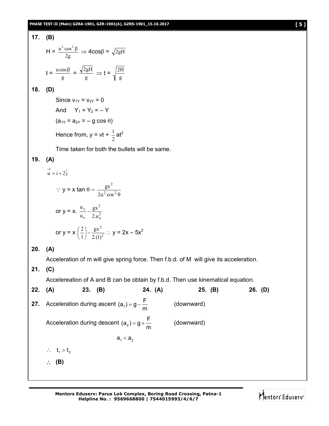17. **(B)**  
\n
$$
H = \frac{u^2 \cos^2 \beta}{2g} \Rightarrow 4\cos\beta = \sqrt{2gH}
$$
\n
$$
t = \frac{u \cos\beta}{g} = \frac{\sqrt{2gH}}{g} \Rightarrow t = \sqrt{\frac{2H}{g}}
$$

$$
18. (D)
$$

Since  $v_{1Y} = v_{2Y} = 0$ And  $Y_1 = Y_2 = -Y$  $(a_{1Y} = a_{2Y} = -g \cos \theta)$ Hence from,  $y = vt + \frac{1}{2}$  $\frac{1}{2}$ at<sup>2</sup>

Time taken for both the bullets will be same.

### **19. (A)**

 $\rightarrow$ 

$$
u = i + 2j
$$
  
\n
$$
\therefore y = x \tan \theta - \frac{gx^{2}}{2u^{2} \cos^{2} \theta}
$$
  
\nor  $y = x. \frac{u_{y}}{u_{x}} - \frac{gx^{2}}{2.u_{x}^{2}}$   
\nor  $y = x \left(\frac{2}{1}\right) - \frac{gx^{2}}{2.(1)^{2}} \therefore y = 2x - 5x^{2}$ 

#### **20. (A)**

Acceleration of m will give spring force. Then f.b.d. of M will give its acceleration.

**21. (C)**

Accelereation of A and B can be obtain by f.b.d. Then use kinematical equation.

| 22. $(A)$ |                          | $23.$ (B) |                                                                 | 24. (A) | 25. (B)    | 26. (D) |
|-----------|--------------------------|-----------|-----------------------------------------------------------------|---------|------------|---------|
|           |                          |           | <b>27.</b> Acceleration during ascent $(a_1) = g - \frac{F}{m}$ |         | (downward) |         |
|           |                          |           | Acceleration during descent $(a_2) = g + \frac{F}{m}$           |         | (downward) |         |
|           |                          |           | $a_1 < a_2$                                                     |         |            |         |
|           | $\therefore$ $t_1 > t_2$ |           |                                                                 |         |            |         |
|           | $\therefore$ (B)         |           |                                                                 |         |            |         |
|           |                          |           |                                                                 |         |            |         |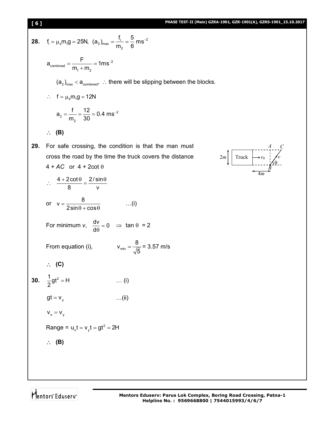28. 
$$
f_1 = \mu_s m_1 g = 25N
$$
,  $(a_2)_{max} = \frac{f_1}{m_2} = \frac{5}{6} \text{ ms}^{-2}$   
\n $a_{conbined} = \frac{F}{m_1 + m_2} = 1 \text{ ms}^{-2}$   
\n $(a_2)_{max} < a_{conbined}$   $\therefore$  there will be slipping between the blocks.  
\n $\therefore f = \mu_s m_1 g = 12N$   
\n $a_2 = \frac{f_1}{m_2} = \frac{12}{30} = 0.4 \text{ ms}^{-2}$   
\n $\therefore$  (B)  
\n29. For safe crossing, the condition is that the man must  
\ncross the road by the time the truck covers the distance  
\n $4 + AC$  or  $4 + 2 \cot \theta$   
\n $\therefore \frac{4 + 2 \cot \theta}{8} = \frac{2/\sin \theta}{v}$   
\nor  $v = \frac{8}{2 \sin \theta + \cos \theta}$  ...(i)  
\nFor minimum  $v$ ,  $\frac{dv}{d\theta} = 0 \Rightarrow \tan \theta = 2$   
\nFrom equation (i),  $v_{min} = \frac{8}{\sqrt{5}} = 3.57 \text{ m/s}$   
\n $\therefore$  (C)  
\n30.  $\frac{1}{2}gt^2 = H$  ...(i)  
\n $gt = v_y$  ...(ii)  
\n $v_x = v_y$  ...(ii)  
\n $v_x = v_y$  ...(iii)  
\n $v_x = v_y$  ...(ii)  
\n(a)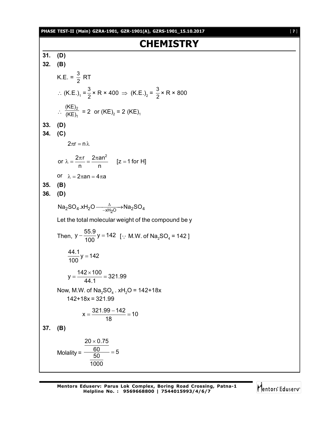#### **PHASE TEST-II (Main) GZRA-1901, GZR-1901(A), GZRS-1901\_15.10.2017** [ **7** ]

# **CHEMISTRY**

**31. (D) 32. (B)** K.E. =  $\frac{3}{2}$  RT ∴ (K.E.)<sub>1</sub> =  $\frac{3}{2}$  × R × 400  $\Rightarrow$  (K.E.)<sub>2</sub> =  $\frac{3}{2}$  × R × 800  $\therefore \frac{\overline{(\overline{KE})_1}}{(\overline{KE})_1}$ 2 (KE) (KE)  $= 2$  or (KE)<sub>2</sub> = 2 (KE)<sub>1</sub> **33. (D) 34. (C)**  $2\pi r = n \lambda$ or  $\lambda = \frac{2\pi r}{r} = \frac{2\pi a n^2}{r}$  [z = 1 for H] n n  $λ = \frac{2πr}{r} = \frac{2πan^2}{r}$  [z = 1 or  $\lambda = 2\pi a n = 4\pi a$ **35. (B) 36. (D)**  $\textsf{Na}_2\textsf{SO}_4.\textsf{xH}_2\textsf{O} \xrightarrow{-\textsf{xH}_2\textsf{O}}\textsf{Na}_2\textsf{SO}_4$ Let the total molecular weight of the compound be y Then,  $y - \frac{55.9}{400}y = 142$  $-\frac{38.6}{100}$  y = 142 [.. M.W. of Na<sub>2</sub>SO<sub>4</sub> = 142]  $\frac{44.1}{122}$ y = 142 100  $=$  $y = \frac{142 \times 100}{111} = 321.99$ 44.1  $=\frac{142\times100}{11.1}=3$ Now, M.W. of  $\mathsf{Na}_2\mathsf{SO}_4$  . xH $_2\mathsf{O}$  = 142+18x  $142+18x = 321.99$  $x = \frac{321.99 - 142}{10} = 10$ 18  $=\frac{321.99-142}{12}$ **37. (B)** Molality =  $\frac{60}{50}$  = 5  $20 \times 0.75$ 1000

Mentors Eduserv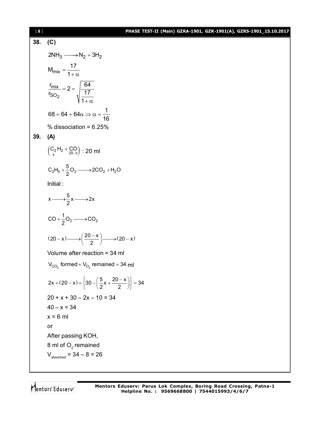#### [ **8** ] **PHASE TEST-II (Main) GZRA-1901, GZR-1901(A), GZRS-1901\_15.10.2017**

## **38. (C)**  $2NH_3 \longrightarrow N_2 + 3H_2$  $M_{mix} = \frac{17}{10}$ 1  $=$  $+\alpha$ 2 <u>mix</u> SO  $\frac{r_{mix}}{17} = 2 = \frac{64}{17}$  $r_{SO_2}$   $\frac{1}{17}$  17 1  $= 2 =$  $+\alpha$  $68 = 64 + 64\alpha \Rightarrow \alpha = \frac{1}{16}$ 16  $= 64 + 64\alpha \Rightarrow \alpha = %$  dissociation =  $6.25%$ **39. (A)**  $\left(\begin{matrix} C_2 & H_2 + CO \\ x & 20-x \end{matrix}\right)$  : 20 ml  $2^1$  5  $\tau$   $\frac{1}{2}$   $\cup$  2  $\longrightarrow$  2  $\cup$   $\cup$  2  $\tau$  1  $\tau$  1  $\tau$  $C_2H_5 + \frac{5}{2}O_2 \longrightarrow 2CO_2 + H_2O$ Initial :  $x \longrightarrow \frac{5}{2}x \longrightarrow 2x$  $2 \rightarrow 2$  $CO + \frac{1}{2}O_2 \longrightarrow CO$  $(20-x) \longrightarrow \left(\frac{20-x}{2}\right) \longrightarrow (20-x)$  $-x) \longrightarrow \left(\frac{20-x}{2}\right) \longrightarrow (20-x)$ Volume after reaction = 34 ml  $\rm V_{CO_2}$  formed +  $\rm V_{O_2}$  remained = 34 mI  $2x + (20 - x) + \{30 - \left(\frac{5}{2}x + \frac{20 - x}{2}\right)\} = 34$  $+(20-x)+\left\{30-\left(\frac{5}{2}x+\frac{20-x}{2}\right)\right\}=3$  $20 + x + 30 - 2x - 10 = 34$  $40 - x = 34$  $x = 6$  ml or After passing KOH, 8 ml of  $\mathrm{O}_2$  remained  $V_{\text{absorbed}} = 34 - 8 = 26$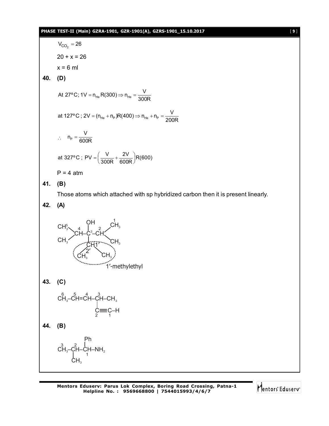#### **PHASE TEST-II (Main) GZRA-1901, GZR-1901(A), GZRS-1901\_15.10.2017** [ **9** ]

 $V_{CO_2} = 26$  $20 + x = 26$  $x = 6$  ml **40. (D)**  $He$   $N\sim$   $\sim$   $H$   $He$ At 27°C; 1V =  $n_{He}$  R(300)  $\Rightarrow$   $n_{He} = \frac{V}{300R}$ at 127°C ; 2V = (n<sub>He</sub> + n<sub>P</sub>)R(400)  $\Rightarrow$  n<sub>He</sub> + n<sub>P</sub> =  $\frac{\text{V}}{200\text{R}}$  $\therefore$  n<sub>P</sub>  $n_{\rm P} = \frac{V}{600R}$ at 327°C ; PV =  $\left(\frac{\mathsf{V}}{300\mathsf{R}} + \frac{2\mathsf{V}}{600\mathsf{R}}\right)$ R(600)  $=\left(\frac{\mathsf{V}}{300\mathsf{R}}+\frac{2\mathsf{V}}{600\mathsf{R}}\right)\!\mathsf{R}$  $P = 4$  atm **41. (B)** Those atoms which attached with sp hybridized carbon then it is present linearly. **42. (A)**  $CH^5_3$ CH<sub>3</sub>  $\mathsf{CH}\text{--}\mathsf{C}^3$ –CH 4 | 2  $\mathsf{CH}_3$  $\mathsf{CH}_3$ 1 CH1'  $\overline{\textsf{CH}_3}$  CH<sub>3</sub> 2' 1'-methylethyl OH **43. (C)**  $\mathsf{c}\overset{\mathsf{6}}{\mathsf{H}}\text{-}\mathsf{c}\overset{\mathsf{5}}{\mathsf{H}}\text{-}\mathsf{c}\overset{\mathsf{4}}{\mathsf{H}}\text{-}\mathsf{c}\overset{\mathsf{3}}{\mathsf{H}}\text{-}\mathsf{c}\mathsf{H}_\text{-}$  $C \equiv C- H$ **44. (B)**  $\overrightarrow{CH_3}-\overrightarrow{CH}-\overrightarrow{CH}-NH_2$ Ph 1  $\mathsf{CH}_3$ 

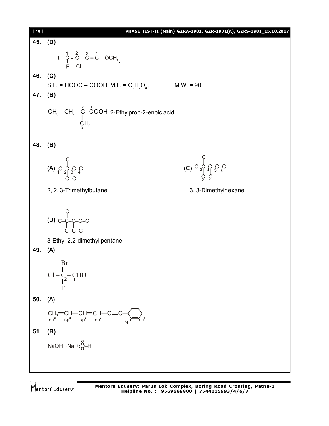| [10] | PHASE TEST-II (Main) GZRA-1901, GZR-1901(A), GZRS-1901_15.10.2017                                                                                               |
|------|-----------------------------------------------------------------------------------------------------------------------------------------------------------------|
| 45.  | (D)                                                                                                                                                             |
|      | $I - C = C - C = C - OCH3$<br>F C                                                                                                                               |
| 46.  | (C)                                                                                                                                                             |
|      | S.F. = HOOC – COOH, M.F. = $C_2H_2O_4$ ,<br>$M.W. = 90$                                                                                                         |
| 47.  | (B)                                                                                                                                                             |
|      | CH <sub>3</sub> – CH <sub>2</sub> – $\overrightarrow{C}$ – COOH 2-Ethylprop-2-enoic acid<br>U<br>CH <sub>2</sub>                                                |
| 48.  | (B)                                                                                                                                                             |
|      |                                                                                                                                                                 |
|      | (C) $C = \begin{bmatrix} C & C & C & C \\ C & C & C & C \\ C & C & C \end{bmatrix}$<br>(A) $C-C-C-C$<br>(A) $C-\frac{C}{2}C-C$                                  |
|      |                                                                                                                                                                 |
|      |                                                                                                                                                                 |
|      | 3, 3-Dimethylhexane<br>2, 2, 3-Trimethylbutane                                                                                                                  |
|      | (D) $C - C - C - C$<br>3-Ethyl-2,2-dimethyl pentane                                                                                                             |
| 49.  | (A)                                                                                                                                                             |
|      | Br<br>$Cl - C - CHO$<br>F                                                                                                                                       |
| 50.  | (A)                                                                                                                                                             |
|      | $\begin{array}{cc} \text{CH}_2\text{=} \text{CH}\text{---}\text{CH}\text{=} \text{CH}\text{---}\text{C} \\ \text{sp}^2 & \text{sp}^2 & \text{sp}^2 \end{array}$ |
| 51.  | (B)                                                                                                                                                             |
|      | NaOH→Na +:Q-H                                                                                                                                                   |
|      |                                                                                                                                                                 |
|      |                                                                                                                                                                 |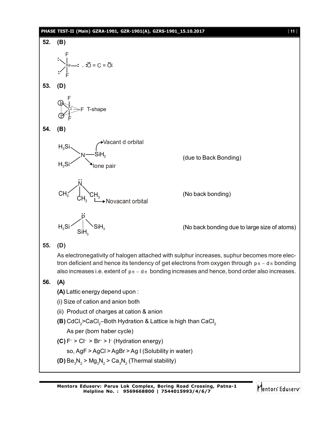#### **PHASE TEST-II (Main) GZRA-1901, GZR-1901(A), GZRS-1901\_15.10.2017** [ **11** ]



Mentors Eduserv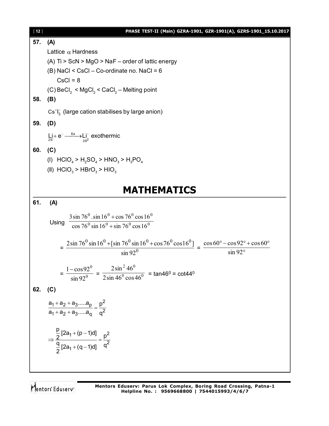| $[12]$ | PHASE TEST-II (Main) GZRA-1901, GZR-1901(A), GZRS-1901_15.10.2017                                                                                    |
|--------|------------------------------------------------------------------------------------------------------------------------------------------------------|
| 57.    | (A)                                                                                                                                                  |
|        | Lattice $\alpha$ Hardness                                                                                                                            |
|        | (A) Ti > ScN > MgO > NaF - order of lattic energy                                                                                                    |
|        | (B) NaCl < CsCl - Co-ordinate no. NaCl = 6                                                                                                           |
|        | $CsCl = 8$                                                                                                                                           |
|        | (C) BeCl <sub>2</sub> < MgCl <sub>2</sub> < CaCl <sub>2</sub> – Melting point                                                                        |
| 58.    | (B)                                                                                                                                                  |
|        | $Cs+I3$ (large cation stabilises by large anion)                                                                                                     |
| 59.    | (D)                                                                                                                                                  |
|        |                                                                                                                                                      |
|        | $Li + e^- \xrightarrow{Ea} Li^-$ exothermic                                                                                                          |
| 60.    | (C)                                                                                                                                                  |
|        | (I) $HClO_4 > H_2SO_4 > HNO_3 > H_3PO_4$                                                                                                             |
|        | (II) $HClO3 > HBrO3 > HIO3$                                                                                                                          |
|        |                                                                                                                                                      |
|        | <b>MATHEMATICS</b>                                                                                                                                   |
| 61.    | (A)                                                                                                                                                  |
|        |                                                                                                                                                      |
|        | $3\sin 76^{\circ} \cdot \sin 16^{\circ} + \cos 76^{\circ} \cos 16^{\circ}$<br>Using                                                                  |
|        | $\cos 76^\circ \sin 16^\circ + \sin 76^\circ \cos 16^\circ$                                                                                          |
|        | $= \frac{2\sin 76^0 \sin 16^0 + [\sin 76^0 \sin 16^0 + \cos 76^0 \cos 16^0]}{9.5} = \frac{\cos 60^{\circ} - \cos 92^{\circ} + \cos 60^{\circ}}{9.5}$ |
|        | $\sin 92^\circ$<br>$\sin 92^\circ$                                                                                                                   |
|        |                                                                                                                                                      |
|        | $=\frac{1-\cos 92^0}{\sin 92^0}=\frac{2\sin^2 46^0}{2\sin 46^0 \cos 46^0}=\tan 46^0=\cot 44^0$                                                       |
|        |                                                                                                                                                      |
| 62.    | (C)                                                                                                                                                  |
|        |                                                                                                                                                      |
|        | $\frac{a_1 + a_2 + a_3a_p}{a_1 + a_2 + a_3a_q} = \frac{p^2}{q^2}$                                                                                    |
|        |                                                                                                                                                      |
|        |                                                                                                                                                      |
|        | $\Rightarrow \frac{\frac{p}{2}[2a_1+(p-1)d]}{\frac{q}{2}[2a_1+(q-1)d]} = \frac{p^2}{q^2}$                                                            |
|        |                                                                                                                                                      |
|        |                                                                                                                                                      |
|        |                                                                                                                                                      |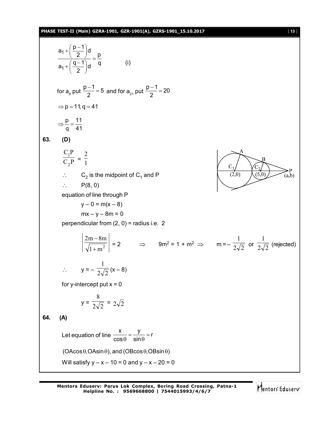#### **PHASE TEST-II (Main) GZRA-1901, GZR-1901(A), GZRS-1901\_15.10.2017** [ **13** ]

$$
\frac{a_1 + (\frac{p-1}{2})d}{a_1 + (\frac{q-1}{2})d} = \frac{p}{q}
$$
(i)  
\nfor  $a_6$  put  $\frac{p-1}{2} = 5$  and for  $a_2$ , put  $\frac{p-1}{2} = 20$   
\n⇒  $p = 11, q = 41$   
\n⇒  $\frac{p}{q} = \frac{11}{41}$   
\n83. (D)  
\n  
\n $\frac{C_1P}{C_2P} = \frac{2}{1}$   
\n∴  $C_2$  is the midpoint of  $C_1$  and P  
\n∴  $P(8, 0)$   
\nequation of line through P  
\n $y - 0 = m(x - 8)$   
\n $mx - y - 8m = 0$   
\nperpendicular from (2, 0) = radius i.e. 2  
\n $\left|\frac{2m - 8m}{\sqrt{1 + m^2}}\right| = 2$  ⇒  $9m^2 = 1 + m^2$  ⇒  $m = -\frac{1}{2\sqrt{2}}$  or  $\frac{1}{2\sqrt{2}}$  (rejected)  
\n∴  $y = -\frac{1}{2\sqrt{2}}(x - 8)$   
\nfor y-intercept put  $x = 0$   
\n $y = \frac{8}{2\sqrt{2}} = 2\sqrt{2}$   
\n84. (A)  
\nLet equation of line  $\frac{x}{\cos \theta} = \frac{y}{\sin \theta} = r$   
\n(OAcos θ, OAsin θ), and (OBcos θ, OBsin θ)  
\nWill satisfy  $y - x - 10 = 0$  and  $y - x - 20 = 0$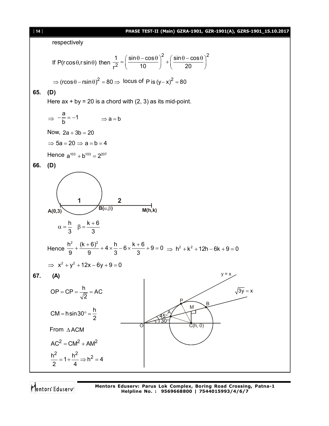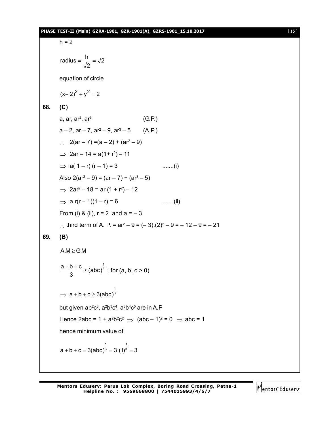#### **PHASE TEST-II (Main) GZRA-1901, GZR-1901(A), GZRS-1901\_15.10.2017** [ **15** ]

```
h = 2radius = \frac{h}{\sqrt{2}} = \sqrt{2}2
                    =\frac{1}{\sqrt{2}}equation of circle
         (x-2)^2 + y^2 = 268. (C)
          a, ar, ar^{\rm 2}, ar^{\rm 3} (G.P.)
          a – 2, ar – 7, ar^2 – 9, ar^3 – 5 \qquad (A.P.)
          \therefore 2(ar – 7) = (a – 2) + (ar<sup>2</sup> – 9)
          \Rightarrow 2ar – 14 = a(1+ r<sup>2</sup>) – 11
         \Rightarrow a( 1 – r) (r – 1) = 3 .......(i)
          Also 2(ar<sup>2</sup> – 9) = (ar – 7) + (ar<sup>3</sup> – 5)
          \Rightarrow 2ar<sup>2</sup> – 18 = ar (1 + r<sup>2</sup>) – 12
         \Rightarrow a.r(r – 1)(1 – r) = 6 .......(ii)
         From (i) & (ii), r = 2 and a = -3: third term of A. P. = ar^2 - 9 = (-3)(2)^2 - 9 = -12 - 9 = -2169. (B)
          A.M \ge G.M1
          \frac{a+b+c}{2} \geq (abc)<sup>\frac{1}{3}</sup>
                3
             \frac{+b+c}{2} ≥ (abc)<sup>3</sup>; for (a, b, c > 0)
          \Rightarrow1
                a + b + c \geq 3(abc)<sup>3</sup>
          but given ab²c<sup>3</sup>, a<sup>2</sup>b३c<sup>4</sup>, a<sup>3</sup>b4c<sup>5</sup> are in A.P
          Hence 2abc = 1 + a<sup>2</sup>b<sup>2</sup>c<sup>2</sup> \Rightarrow (abc – 1)<sup>2</sup> = 0 \Rightarrow abc = 1
         hence minimum value of
                                    1 1
          a + b + c = 3(abc)^3 = 3.(1)^3 = 3
```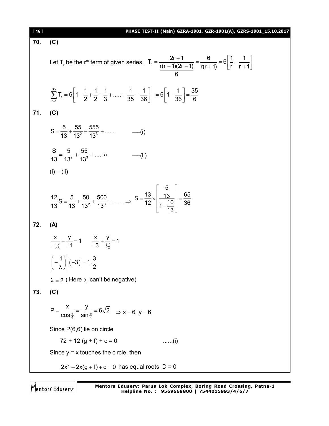| $[16]$ | PHASE TEST-II (Main) GZRA-1901, GZR-1901(A), GZRS-1901_15.10.2017                                                                                                                          |
|--------|--------------------------------------------------------------------------------------------------------------------------------------------------------------------------------------------|
| 70.    | (C)                                                                                                                                                                                        |
|        | Let T <sub>r</sub> be the r <sup>th</sup> term of given series, $T_r = \frac{2r+1}{r(r+1)(2r+1)} = \frac{6}{r(r+1)} = 6\left[\frac{1}{r} - \frac{1}{r+1}\right]$                           |
|        | $\sum_{1}^{35}$ T <sub>r</sub> = 6 $\left  1 - \frac{1}{2} + \frac{1}{2} - \frac{1}{3} + \dots + \frac{1}{35} - \frac{1}{36} \right $ = 6 $\left  1 - \frac{1}{36} \right  = \frac{35}{6}$ |
| 71.    | (C)                                                                                                                                                                                        |
|        | $S = \frac{5}{13} + \frac{55}{13^2} + \frac{555}{13^3} + \dots$ ---- (i)                                                                                                                   |
|        | $\frac{S}{13} = \frac{5}{13^2} + \frac{55}{13^3} + \dots \infty$<br>$---(ii)$                                                                                                              |
|        | $(i) - (ii)$                                                                                                                                                                               |
|        | $rac{12}{13}$ S = $rac{5}{13}$ + $rac{50}{13^2}$ + $rac{500}{13^3}$ + $\Rightarrow$ S = $rac{13}{12} \times \left  \frac{\frac{5}{13}}{1 - \frac{10}{1}} \right  = \frac{65}{36}$          |
| 72.    | (A)                                                                                                                                                                                        |
|        | $\frac{x}{-y_1} + \frac{y}{+1} = 1$ $\frac{x}{-3} + \frac{y}{y_2} = 1$                                                                                                                     |
|        | $\left  \left( -\frac{1}{\lambda} \right) \right  \left( -3 \right) \right  = 1 \cdot \frac{3}{2}$                                                                                         |
|        | $\lambda = 2$ (Here $\lambda$ can't be negative)                                                                                                                                           |
| 73.    | (C)                                                                                                                                                                                        |
|        | $P = \frac{x}{\cos \frac{\pi}{4}} = \frac{y}{\sin \frac{\pi}{4}} = 6\sqrt{2} \implies x = 6, y = 6$                                                                                        |
|        | Since P(6,6) lie on circle                                                                                                                                                                 |
|        | $72 + 12(g + f) + c = 0$<br>$\ldots$ (i)                                                                                                                                                   |
|        | Since $y = x$ touches the circle, then                                                                                                                                                     |
|        | $2x^2 + 2x(g + f) + c = 0$ has equal roots D = 0                                                                                                                                           |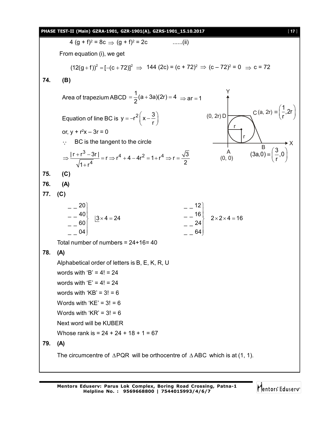|     | PHASE TEST-II (Main) GZRA-1901, GZR-1901(A), GZRS-1901_15.10.2017<br>$[17]$                                                                                                                                           |
|-----|-----------------------------------------------------------------------------------------------------------------------------------------------------------------------------------------------------------------------|
|     | 4 $(g + f)^2 = 8c \implies (g + f)^2 = 2c$<br>$\ldots$ (ii)                                                                                                                                                           |
|     | From equation (i), we get                                                                                                                                                                                             |
|     | $(12(g + f))^{2} = [-(c + 72)]^{2} \Rightarrow 144 (2c) = (c + 72)^{2} \Rightarrow (c - 72)^{2} = 0 \Rightarrow c = 72$                                                                                               |
| 74. | (B)                                                                                                                                                                                                                   |
|     | Area of trapezium ABCD = $\frac{1}{2}$ (a + 3a)(2r) = 4 $\Rightarrow$ ar = 1                                                                                                                                          |
|     | C (a, 2r) = $\frac{1}{r}$ , 2r<br>$(0, 2r)$ D<br>Equation of line BC is $y = -r^2\left(x - \frac{3}{r}\right)$                                                                                                        |
|     | or, $y + r^2x - 3r = 0$                                                                                                                                                                                               |
|     | BC is the tangent to the circle                                                                                                                                                                                       |
|     | $\overline{B}$ $(3a,0) \equiv \left(\frac{3}{r},0\right)$<br>$A$<br>(0, 0)<br>$\Rightarrow \frac{ r+r^3-3r }{\sqrt{1+r^4}} = r \Rightarrow r^4 + 4 - 4r^2 = 1 + r^4 \Rightarrow r = \frac{\sqrt{3}}{2}$               |
| 75. | (C)                                                                                                                                                                                                                   |
| 76. | (A)                                                                                                                                                                                                                   |
| 77. | (C)                                                                                                                                                                                                                   |
|     | $-{}^{20}$<br>$\begin{vmatrix} - & -40 \\ - & 60 \end{vmatrix}$ $\begin{vmatrix} 3 \times 4 = 24 \end{vmatrix}$<br>$\begin{array}{c c} - & -16 & 2 \times 2 \times 4 = 16 \\ - & 24 & \end{array}$<br>04<br>$_{-}$ 64 |
|     | Total number of numbers = $24+16=40$                                                                                                                                                                                  |
| 78. | (A)                                                                                                                                                                                                                   |
|     | Alphabetical order of letters is B, E, K, R, U                                                                                                                                                                        |
|     | words with 'B' = $4! = 24$                                                                                                                                                                                            |
|     | words with 'E' = $4! = 24$                                                                                                                                                                                            |
|     | words with ' $KB' = 3! = 6$                                                                                                                                                                                           |
|     | Words with ' $KE$ ' = 3! = 6                                                                                                                                                                                          |
|     | Words with ' $KR' = 3! = 6$                                                                                                                                                                                           |
|     | Next word will be KUBER                                                                                                                                                                                               |
|     | Whose rank is = $24 + 24 + 18 + 1 = 67$                                                                                                                                                                               |
| 79. | (A)                                                                                                                                                                                                                   |
|     | The circumcentre of $\triangle PQR$ will be orthocentre of $\triangle ABC$ which is at (1, 1).                                                                                                                        |
|     |                                                                                                                                                                                                                       |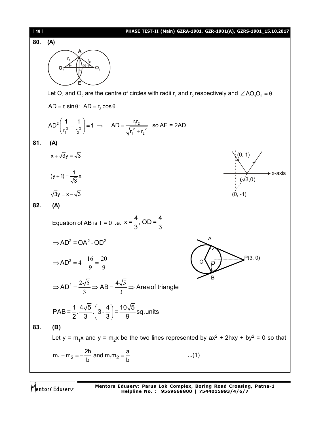

Mentors Eduserv

**Mentors Eduserv: Parus Lok Complex, Boring Road Crossing, Patna-1 Helpline No. : 9569668800 | 7544015993/4/6/7**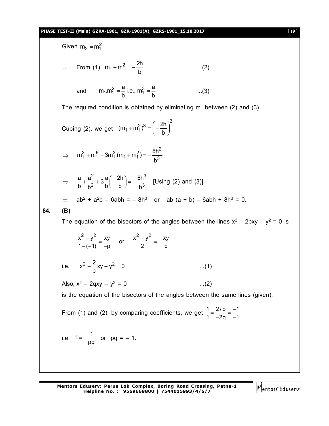#### **PHASE TEST-II (Main) GZRA-1901, GZR-1901(A), GZRS-1901\_15.10.2017** [ **19** ]

Given 
$$
m_2 = m_1^2
$$
  
\n
$$
\therefore
$$
 From (1),  $m_1 + m_1^2 = -\frac{2h}{b}$  ...(2)  
\nand  $m_1 m_1^2 = \frac{a}{b} \text{ i.e., } m_1^3 = \frac{a}{b}$  ...(3)  
\nThe required condition is obtained by eliminating  $m_1$  between (2) and (3).  
\nCubing (2), we get  $(m_1 + m_1^2)^3 = \left(-\frac{2h}{b}\right)^3$   
\n
$$
\Rightarrow m_1^3 + m_1^6 + 3m_1^3 (m_1 + m_1^2) = -\frac{8h^2}{b^3}
$$
\n
$$
\Rightarrow \frac{a}{b} + \frac{a^2}{b^2} + 3\frac{a}{b} \left(-\frac{2h}{b}\right) = -\frac{8h^3}{b^3}
$$
 [Using (2) and (3)]  
\n
$$
\Rightarrow ab^2 + a^2b - 6abh = -8h^3 \text{ or } ab (a + b) - 6abh + 8h^3 = 0.
$$
\n**84.** (B)  
\nThe equation of the bisectors of the angles between the lines  $x^2 - 2pxy - y^2 = 0$  is  $\frac{x^2 - y^2}{1 - (-1)} = \frac{xy}{-p}$  or  $\frac{x^2 - y^2}{2} = -\frac{xy}{p}$   
\ni.e.  $x^2 + \frac{2}{p}xy - y^2 = 0$  ...(1)  
\nAlso,  $x^2 - 2qxy - y^2 = 0$  ...(2)  
\nis the equation of the bisectors of the angles between the same lines (given).  
\nFrom (1) and (2), by comparing coefficients, we get  $\frac{1}{1} = \frac{2/p}{-2q} = -\frac{1}{1}$   
\ni.e.  $1 = -\frac{1}{pq}$  or  $pq = -1$ .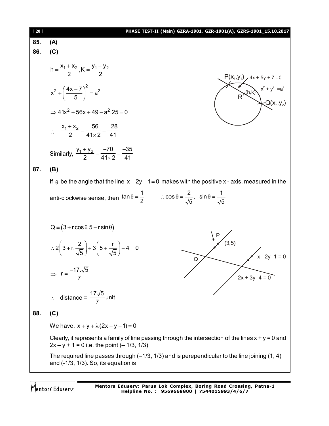| $[20]$ | PHASE TEST-II (Main) GZRA-1901, GZR-1901(A), GZRS-1901_15.10.2017                                                                                                                                                                                                                                                                                                                                                                                             |
|--------|---------------------------------------------------------------------------------------------------------------------------------------------------------------------------------------------------------------------------------------------------------------------------------------------------------------------------------------------------------------------------------------------------------------------------------------------------------------|
| 85.    | (A)                                                                                                                                                                                                                                                                                                                                                                                                                                                           |
| 86.    | (C)                                                                                                                                                                                                                                                                                                                                                                                                                                                           |
|        | h = $\frac{X_1 + X_2}{2}$ , K = $\frac{Y_1 + Y_2}{2}$<br>$P(x_1, y_1)$ 4x + 5y + 7 = 0<br>R<br>(h,k) $x^2 + y^2 = a^2$<br>Q(x <sub>2</sub> ,y <sub>2</sub> )<br>$x^{2} + \left(\frac{4x+7}{-5}\right)^{2} = a^{2}$<br>$\Rightarrow$ 41x <sup>2</sup> + 56x + 49 - a <sup>2</sup> , 25 = 0<br>$\therefore \quad \frac{x_1 + x_2}{2} = \frac{-56}{41 \times 2} = \frac{-28}{41}$<br>Similarly, $\frac{y_1 + y_2}{2} = \frac{-70}{41 \times 2} = \frac{-35}{41}$ |
| 87.    | (B)                                                                                                                                                                                                                                                                                                                                                                                                                                                           |
|        | If $\theta$ be the angle that the line $x - 2y - 1 = 0$ makes with the positive x - axis, measured in the                                                                                                                                                                                                                                                                                                                                                     |
|        | anti-clockwise sense, then $\tan \theta = \frac{1}{2}$ $\therefore \cos \theta = \frac{2}{\sqrt{5}}$ , $\sin \theta = \frac{1}{\sqrt{5}}$                                                                                                                                                                                                                                                                                                                     |
|        | $Q = (3 + r \cos \theta, 5 + r \sin \theta)$                                                                                                                                                                                                                                                                                                                                                                                                                  |
|        | (3,5)<br>$\therefore 2\left(3 + r\right)\frac{2}{\sqrt{5}} + 3\left(5 + \frac{r}{\sqrt{5}}\right) - 4 = 0$<br>$x - 2y - 1 = 0$<br>Q                                                                                                                                                                                                                                                                                                                           |
|        | $\Rightarrow$ r = $\frac{-17.\sqrt{5}}{7}$<br>$2x + 3y - 4 = 0$                                                                                                                                                                                                                                                                                                                                                                                               |
|        | ∴ distance = $\frac{17\sqrt{5}}{7}$ unit                                                                                                                                                                                                                                                                                                                                                                                                                      |
| 88.    | (C)                                                                                                                                                                                                                                                                                                                                                                                                                                                           |
|        | We have, $x + y + \lambda(2x - y + 1) = 0$                                                                                                                                                                                                                                                                                                                                                                                                                    |
|        | Clearly, it represents a family of line passing through the intersection of the lines $x + y = 0$ and<br>$2x - y + 1 = 0$ i.e. the point (-1/3, 1/3)                                                                                                                                                                                                                                                                                                          |
|        | The required line passes through $(-1/3, 1/3)$ and is perependicular to the line joining $(1, 4)$<br>and $(-1/3, 1/3)$ . So, its equation is                                                                                                                                                                                                                                                                                                                  |